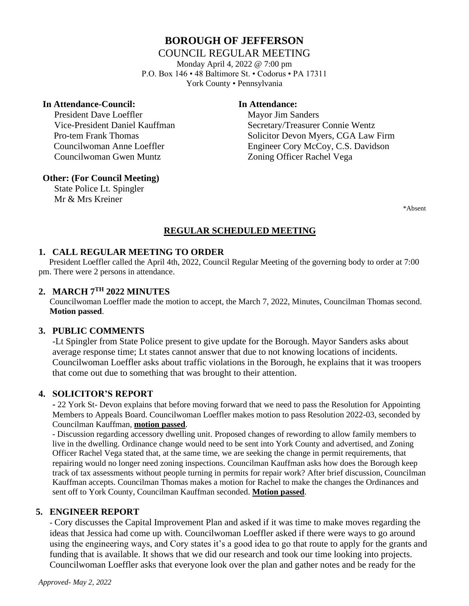# **BOROUGH OF JEFFERSON**

#### COUNCIL REGULAR MEETING

Monday April 4, 2022 @ 7:00 pm P.O. Box 146 • 48 Baltimore St. • Codorus • PA 17311 York County • Pennsylvania

#### **In Attendance-Council: In Attendance:**

President Dave Loeffler Mayor Jim Sanders Councilwoman Gwen Muntz Zoning Officer Rachel Vega

 Vice-President Daniel Kauffman Secretary/Treasurer Connie Wentz Pro-tem Frank Thomas Solicitor Devon Myers, CGA Law Firm Councilwoman Anne Loeffler Engineer Cory McCoy, C.S. Davidson

#### **Other: (For Council Meeting)**

 State Police Lt. Spingler Mr & Mrs Kreiner

\*Absent

# **REGULAR SCHEDULED MEETING**

# **1. CALL REGULAR MEETING TO ORDER**

 President Loeffler called the April 4th, 2022, Council Regular Meeting of the governing body to order at 7:00 pm. There were 2 persons in attendance.

# **2. MARCH 7 TH 2022 MINUTES**

Councilwoman Loeffler made the motion to accept, the March 7, 2022, Minutes, Councilman Thomas second. **Motion passed**.

#### **3. PUBLIC COMMENTS**

-Lt Spingler from State Police present to give update for the Borough. Mayor Sanders asks about average response time; Lt states cannot answer that due to not knowing locations of incidents. Councilwoman Loeffler asks about traffic violations in the Borough, he explains that it was troopers that come out due to something that was brought to their attention.

# **4. SOLICITOR'S REPORT**

**-** 22 York St- Devon explains that before moving forward that we need to pass the Resolution for Appointing Members to Appeals Board. Councilwoman Loeffler makes motion to pass Resolution 2022-03, seconded by Councilman Kauffman, **motion passed**.

- Discussion regarding accessory dwelling unit. Proposed changes of rewording to allow family members to live in the dwelling. Ordinance change would need to be sent into York County and advertised, and Zoning Officer Rachel Vega stated that, at the same time, we are seeking the change in permit requirements, that repairing would no longer need zoning inspections. Councilman Kauffman asks how does the Borough keep track of tax assessments without people turning in permits for repair work? After brief discussion, Councilman Kauffman accepts. Councilman Thomas makes a motion for Rachel to make the changes the Ordinances and sent off to York County, Councilman Kauffman seconded. **Motion passed**.

# **5. ENGINEER REPORT**

- Cory discusses the Capital Improvement Plan and asked if it was time to make moves regarding the ideas that Jessica had come up with. Councilwoman Loeffler asked if there were ways to go around using the engineering ways, and Cory states it's a good idea to go that route to apply for the grants and funding that is available. It shows that we did our research and took our time looking into projects. Councilwoman Loeffler asks that everyone look over the plan and gather notes and be ready for the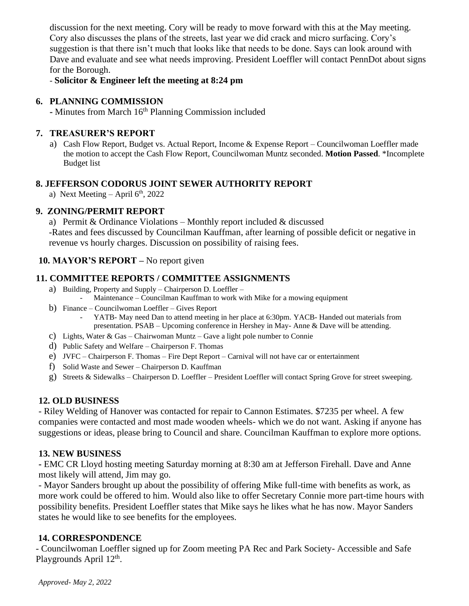discussion for the next meeting. Cory will be ready to move forward with this at the May meeting. Cory also discusses the plans of the streets, last year we did crack and micro surfacing. Cory's suggestion is that there isn't much that looks like that needs to be done. Says can look around with Dave and evaluate and see what needs improving. President Loeffler will contact PennDot about signs for the Borough.

- **Solicitor & Engineer left the meeting at 8:24 pm**

### **6. PLANNING COMMISSION**

**-** Minutes from March 16th Planning Commission included

#### **7. TREASURER'S REPORT**

a) Cash Flow Report, Budget vs. Actual Report, Income & Expense Report – Councilwoman Loeffler made the motion to accept the Cash Flow Report, Councilwoman Muntz seconded. **Motion Passed**. \*Incomplete Budget list

#### **8. JEFFERSON CODORUS JOINT SEWER AUTHORITY REPORT**

a) Next Meeting – April  $6<sup>th</sup>$ , 2022

#### **9. ZONING/PERMIT REPORT**

a) Permit & Ordinance Violations – Monthly report included & discussed -Rates and fees discussed by Councilman Kauffman, after learning of possible deficit or negative in revenue vs hourly charges. Discussion on possibility of raising fees.

# **10. MAYOR'S REPORT –** No report given

# **11. COMMITTEE REPORTS / COMMITTEE ASSIGNMENTS**

- a) Building, Property and Supply Chairperson D. Loeffler Maintenance – Councilman Kauffman to work with Mike for a mowing equipment
- b) Finance Councilwoman Loeffler Gives Report
	- YATB- May need Dan to attend meeting in her place at 6:30pm. YACB- Handed out materials from presentation. PSAB – Upcoming conference in Hershey in May- Anne & Dave will be attending.
- c) Lights, Water & Gas Chairwoman Muntz Gave a light pole number to Connie
- d) Public Safety and Welfare Chairperson F. Thomas
- e) JVFC Chairperson F. Thomas Fire Dept Report Carnival will not have car or entertainment
- f) Solid Waste and Sewer Chairperson D. Kauffman
- g) Streets & Sidewalks Chairperson D. Loeffler President Loeffler will contact Spring Grove for street sweeping.

#### **12. OLD BUSINESS**

- Riley Welding of Hanover was contacted for repair to Cannon Estimates. \$7235 per wheel. A few companies were contacted and most made wooden wheels- which we do not want. Asking if anyone has suggestions or ideas, please bring to Council and share. Councilman Kauffman to explore more options.

#### **13. NEW BUSINESS**

**-** EMC CR Lloyd hosting meeting Saturday morning at 8:30 am at Jefferson Firehall. Dave and Anne most likely will attend, Jim may go.

- Mayor Sanders brought up about the possibility of offering Mike full-time with benefits as work, as more work could be offered to him. Would also like to offer Secretary Connie more part-time hours with possibility benefits. President Loeffler states that Mike says he likes what he has now. Mayor Sanders states he would like to see benefits for the employees.

#### **14. CORRESPONDENCE**

- Councilwoman Loeffler signed up for Zoom meeting PA Rec and Park Society- Accessible and Safe Playgrounds April 12<sup>th</sup>.